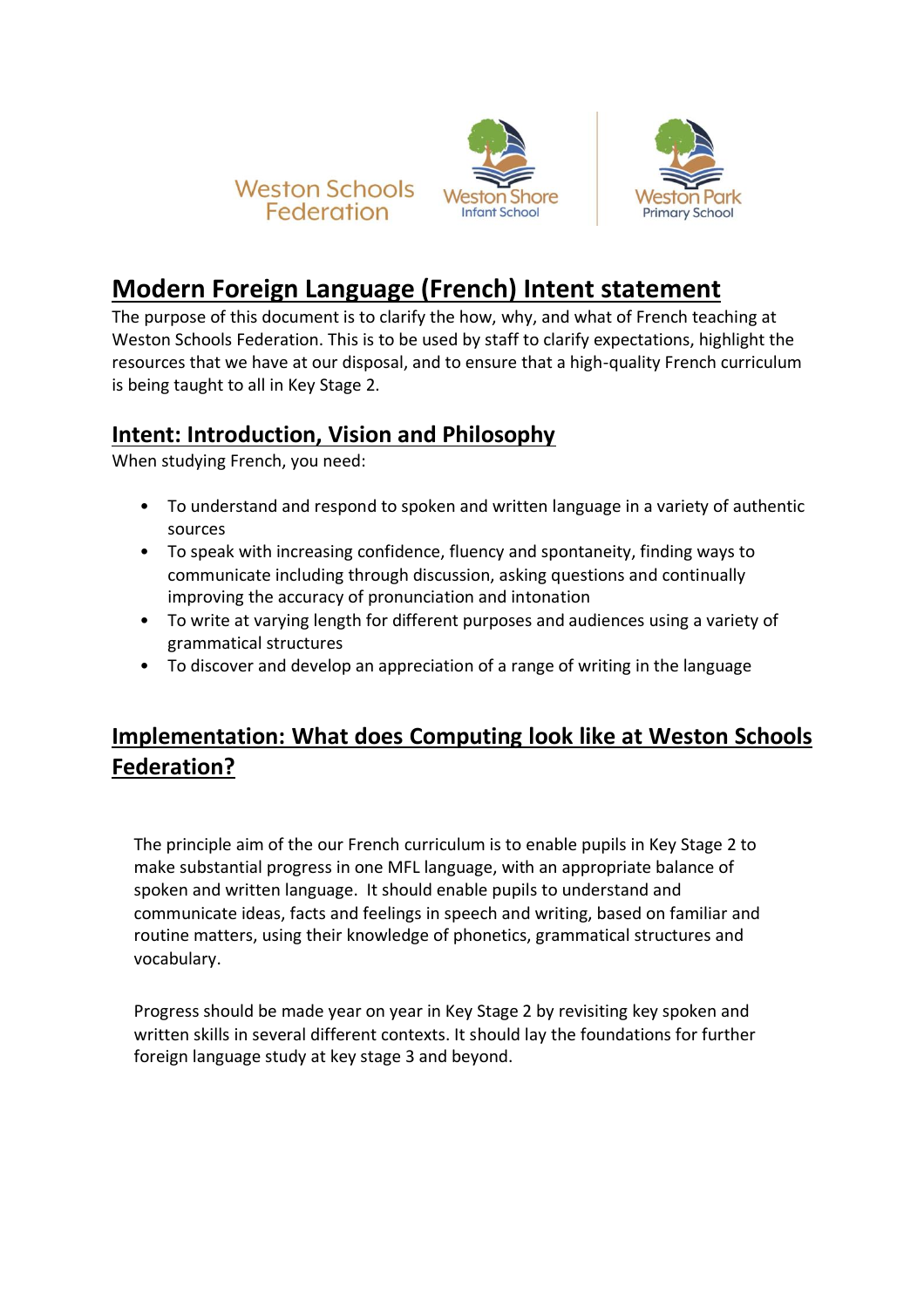

## **Modern Foreign Language (French) Intent statement**

The purpose of this document is to clarify the how, why, and what of French teaching at Weston Schools Federation. This is to be used by staff to clarify expectations, highlight the resources that we have at our disposal, and to ensure that a high-quality French curriculum is being taught to all in Key Stage 2.

## **Intent: Introduction, Vision and Philosophy**

When studying French, you need:

- To understand and respond to spoken and written language in a variety of authentic sources
- To speak with increasing confidence, fluency and spontaneity, finding ways to communicate including through discussion, asking questions and continually improving the accuracy of pronunciation and intonation
- To write at varying length for different purposes and audiences using a variety of grammatical structures
- To discover and develop an appreciation of a range of writing in the language

## **Implementation: What does Computing look like at Weston Schools Federation?**

The principle aim of the our French curriculum is to enable pupils in Key Stage 2 to make substantial progress in one MFL language, with an appropriate balance of spoken and written language. It should enable pupils to understand and communicate ideas, facts and feelings in speech and writing, based on familiar and routine matters, using their knowledge of phonetics, grammatical structures and vocabulary.

Progress should be made year on year in Key Stage 2 by revisiting key spoken and written skills in several different contexts. It should lay the foundations for further foreign language study at key stage 3 and beyond.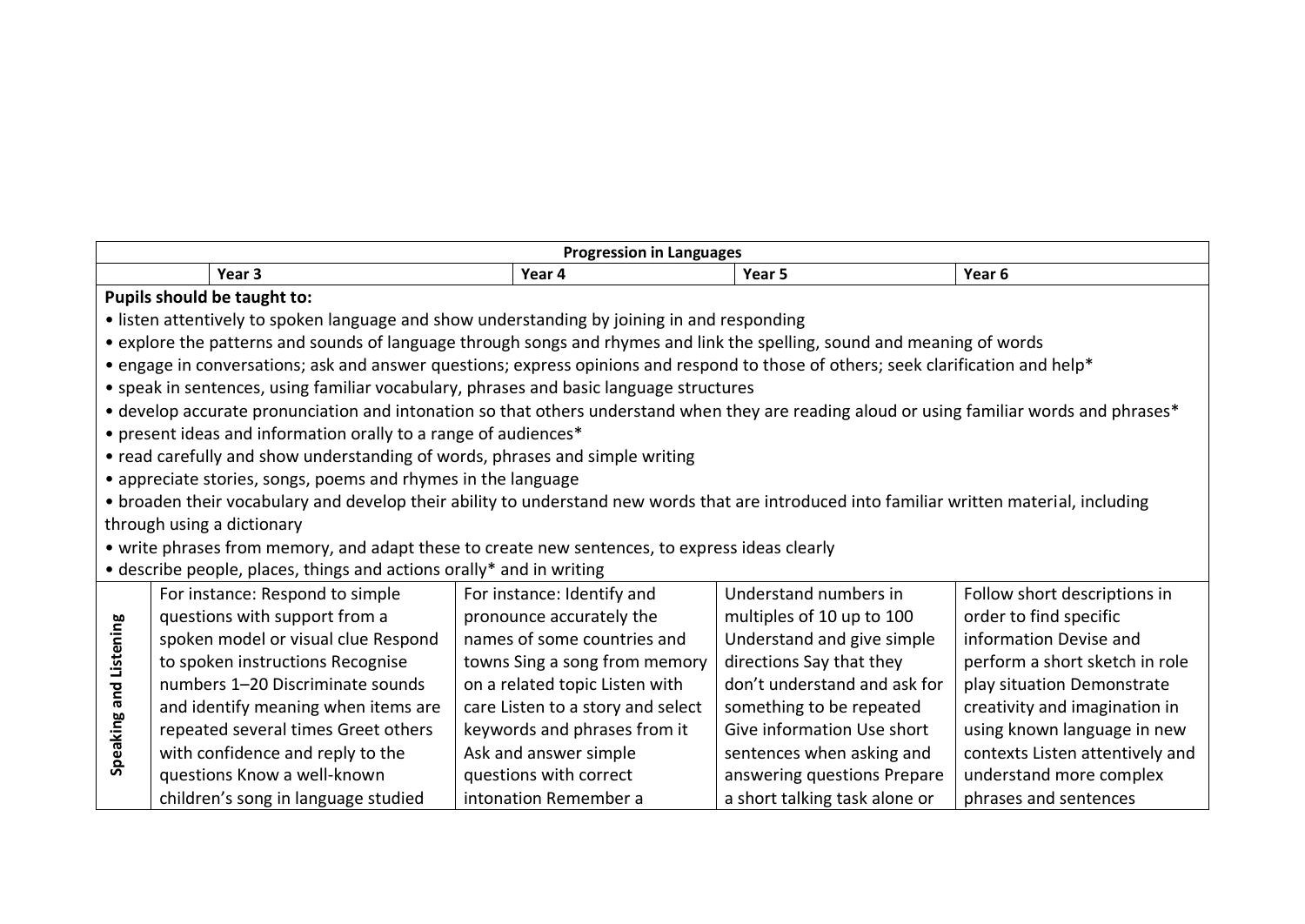| <b>Progression in Languages</b>                                                                                                            |                                                                                                                                            |                                                                      |                                   |                               |                                 |  |  |  |
|--------------------------------------------------------------------------------------------------------------------------------------------|--------------------------------------------------------------------------------------------------------------------------------------------|----------------------------------------------------------------------|-----------------------------------|-------------------------------|---------------------------------|--|--|--|
|                                                                                                                                            |                                                                                                                                            | Year 3                                                               | Year 4                            | Year 5                        | Year <sub>6</sub>               |  |  |  |
|                                                                                                                                            | Pupils should be taught to:                                                                                                                |                                                                      |                                   |                               |                                 |  |  |  |
| • listen attentively to spoken language and show understanding by joining in and responding                                                |                                                                                                                                            |                                                                      |                                   |                               |                                 |  |  |  |
| • explore the patterns and sounds of language through songs and rhymes and link the spelling, sound and meaning of words                   |                                                                                                                                            |                                                                      |                                   |                               |                                 |  |  |  |
|                                                                                                                                            | • engage in conversations; ask and answer questions; express opinions and respond to those of others; seek clarification and help*         |                                                                      |                                   |                               |                                 |  |  |  |
| • speak in sentences, using familiar vocabulary, phrases and basic language structures                                                     |                                                                                                                                            |                                                                      |                                   |                               |                                 |  |  |  |
|                                                                                                                                            | • develop accurate pronunciation and intonation so that others understand when they are reading aloud or using familiar words and phrases* |                                                                      |                                   |                               |                                 |  |  |  |
|                                                                                                                                            |                                                                                                                                            | • present ideas and information orally to a range of audiences*      |                                   |                               |                                 |  |  |  |
| • read carefully and show understanding of words, phrases and simple writing                                                               |                                                                                                                                            |                                                                      |                                   |                               |                                 |  |  |  |
|                                                                                                                                            |                                                                                                                                            | • appreciate stories, songs, poems and rhymes in the language        |                                   |                               |                                 |  |  |  |
| • broaden their vocabulary and develop their ability to understand new words that are introduced into familiar written material, including |                                                                                                                                            |                                                                      |                                   |                               |                                 |  |  |  |
| through using a dictionary                                                                                                                 |                                                                                                                                            |                                                                      |                                   |                               |                                 |  |  |  |
| • write phrases from memory, and adapt these to create new sentences, to express ideas clearly                                             |                                                                                                                                            |                                                                      |                                   |                               |                                 |  |  |  |
|                                                                                                                                            |                                                                                                                                            | • describe people, places, things and actions orally* and in writing |                                   |                               |                                 |  |  |  |
|                                                                                                                                            |                                                                                                                                            | For instance: Respond to simple                                      | For instance: Identify and        | Understand numbers in         | Follow short descriptions in    |  |  |  |
|                                                                                                                                            |                                                                                                                                            | questions with support from a                                        | pronounce accurately the          | multiples of 10 up to 100     | order to find specific          |  |  |  |
| Listening                                                                                                                                  |                                                                                                                                            | spoken model or visual clue Respond                                  | names of some countries and       | Understand and give simple    | information Devise and          |  |  |  |
|                                                                                                                                            |                                                                                                                                            | to spoken instructions Recognise                                     | towns Sing a song from memory     | directions Say that they      | perform a short sketch in role  |  |  |  |
|                                                                                                                                            |                                                                                                                                            | numbers 1-20 Discriminate sounds                                     | on a related topic Listen with    | don't understand and ask for  | play situation Demonstrate      |  |  |  |
| Speaking and                                                                                                                               |                                                                                                                                            | and identify meaning when items are                                  | care Listen to a story and select | something to be repeated      | creativity and imagination in   |  |  |  |
|                                                                                                                                            |                                                                                                                                            | repeated several times Greet others                                  | keywords and phrases from it      | Give information Use short    | using known language in new     |  |  |  |
|                                                                                                                                            |                                                                                                                                            | with confidence and reply to the                                     | Ask and answer simple             | sentences when asking and     | contexts Listen attentively and |  |  |  |
|                                                                                                                                            |                                                                                                                                            | questions Know a well-known                                          | questions with correct            | answering questions Prepare   | understand more complex         |  |  |  |
|                                                                                                                                            |                                                                                                                                            | children's song in language studied                                  | intonation Remember a             | a short talking task alone or | phrases and sentences           |  |  |  |

┑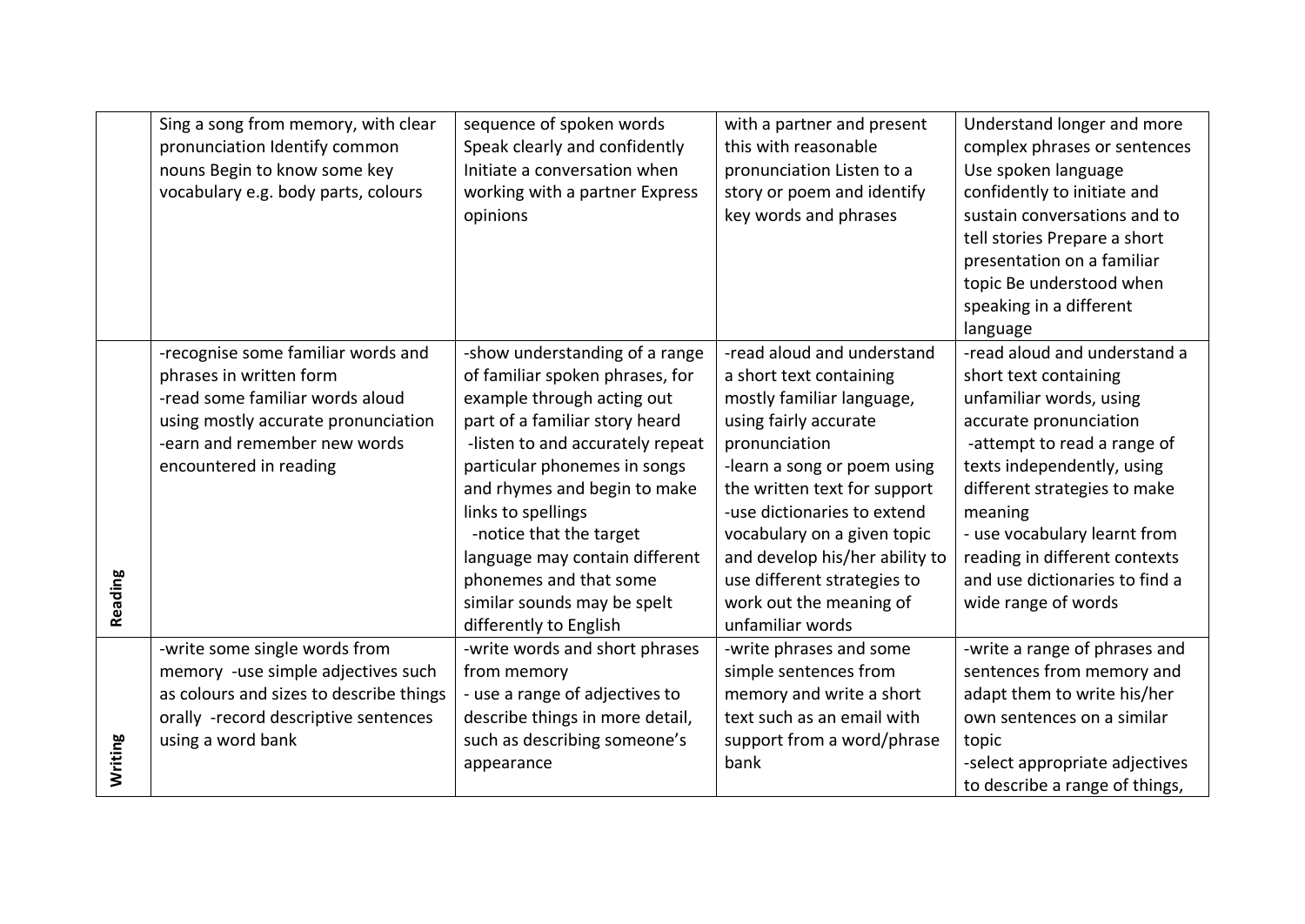|         | Sing a song from memory, with clear     | sequence of spoken words         | with a partner and present     | Understand longer and more     |
|---------|-----------------------------------------|----------------------------------|--------------------------------|--------------------------------|
|         | pronunciation Identify common           | Speak clearly and confidently    | this with reasonable           | complex phrases or sentences   |
|         | nouns Begin to know some key            | Initiate a conversation when     | pronunciation Listen to a      | Use spoken language            |
|         | vocabulary e.g. body parts, colours     | working with a partner Express   | story or poem and identify     | confidently to initiate and    |
|         |                                         | opinions                         | key words and phrases          | sustain conversations and to   |
|         |                                         |                                  |                                | tell stories Prepare a short   |
|         |                                         |                                  |                                | presentation on a familiar     |
|         |                                         |                                  |                                | topic Be understood when       |
|         |                                         |                                  |                                | speaking in a different        |
|         |                                         |                                  |                                | language                       |
|         | -recognise some familiar words and      | -show understanding of a range   | -read aloud and understand     | -read aloud and understand a   |
|         | phrases in written form                 | of familiar spoken phrases, for  | a short text containing        | short text containing          |
|         | -read some familiar words aloud         | example through acting out       | mostly familiar language,      | unfamiliar words, using        |
|         | using mostly accurate pronunciation     | part of a familiar story heard   | using fairly accurate          | accurate pronunciation         |
|         | -earn and remember new words            | -listen to and accurately repeat | pronunciation                  | -attempt to read a range of    |
|         | encountered in reading                  | particular phonemes in songs     | -learn a song or poem using    | texts independently, using     |
|         |                                         | and rhymes and begin to make     | the written text for support   | different strategies to make   |
|         |                                         | links to spellings               | -use dictionaries to extend    | meaning                        |
|         |                                         | -notice that the target          | vocabulary on a given topic    | - use vocabulary learnt from   |
|         |                                         | language may contain different   | and develop his/her ability to | reading in different contexts  |
|         |                                         | phonemes and that some           | use different strategies to    | and use dictionaries to find a |
| Reading |                                         | similar sounds may be spelt      | work out the meaning of        | wide range of words            |
|         |                                         | differently to English           | unfamiliar words               |                                |
|         | -write some single words from           | -write words and short phrases   | -write phrases and some        | -write a range of phrases and  |
|         | memory -use simple adjectives such      | from memory                      | simple sentences from          | sentences from memory and      |
|         | as colours and sizes to describe things | - use a range of adjectives to   | memory and write a short       | adapt them to write his/her    |
|         | orally -record descriptive sentences    | describe things in more detail,  | text such as an email with     | own sentences on a similar     |
|         | using a word bank                       | such as describing someone's     | support from a word/phrase     | topic                          |
| Writing |                                         | appearance                       | bank                           | -select appropriate adjectives |
|         |                                         |                                  |                                | to describe a range of things, |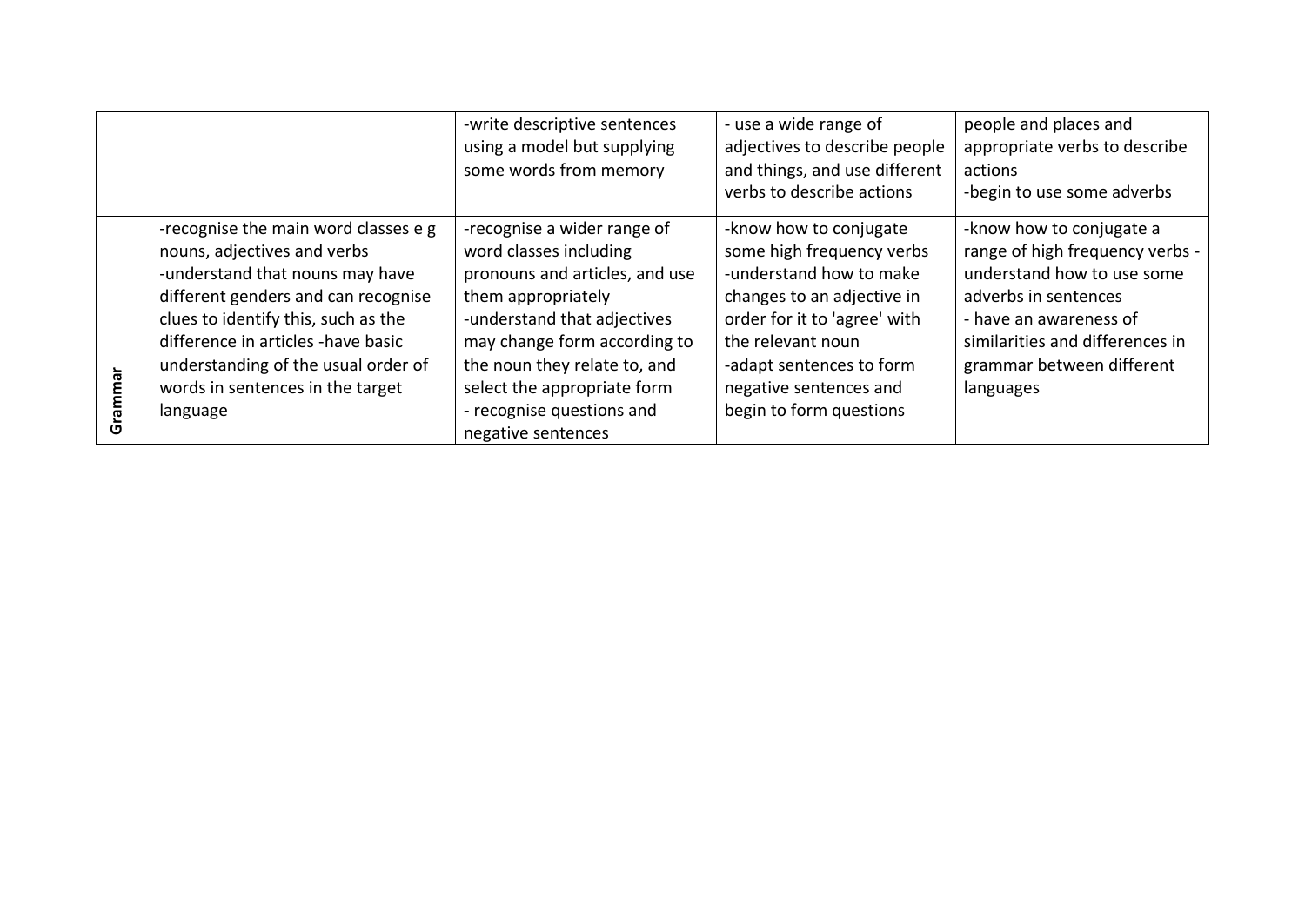|                                                                                                                                                                                                                                                                                                                   | -write descriptive sentences<br>using a model but supplying<br>some words from memory                                                                                                                                                                                                          | - use a wide range of<br>adjectives to describe people<br>and things, and use different<br>verbs to describe actions                                                                                                                               | people and places and<br>appropriate verbs to describe<br>actions<br>-begin to use some adverbs                                                                                                                          |
|-------------------------------------------------------------------------------------------------------------------------------------------------------------------------------------------------------------------------------------------------------------------------------------------------------------------|------------------------------------------------------------------------------------------------------------------------------------------------------------------------------------------------------------------------------------------------------------------------------------------------|----------------------------------------------------------------------------------------------------------------------------------------------------------------------------------------------------------------------------------------------------|--------------------------------------------------------------------------------------------------------------------------------------------------------------------------------------------------------------------------|
| -recognise the main word classes e g<br>nouns, adjectives and verbs<br>-understand that nouns may have<br>different genders and can recognise<br>clues to identify this, such as the<br>difference in articles -have basic<br>understanding of the usual order of<br>words in sentences in the target<br>language | -recognise a wider range of<br>word classes including<br>pronouns and articles, and use<br>them appropriately<br>-understand that adjectives<br>may change form according to<br>the noun they relate to, and<br>select the appropriate form<br>- recognise questions and<br>negative sentences | -know how to conjugate<br>some high frequency verbs<br>-understand how to make<br>changes to an adjective in<br>order for it to 'agree' with<br>the relevant noun<br>-adapt sentences to form<br>negative sentences and<br>begin to form questions | -know how to conjugate a<br>range of high frequency verbs -<br>understand how to use some<br>adverbs in sentences<br>- have an awareness of<br>similarities and differences in<br>grammar between different<br>languages |